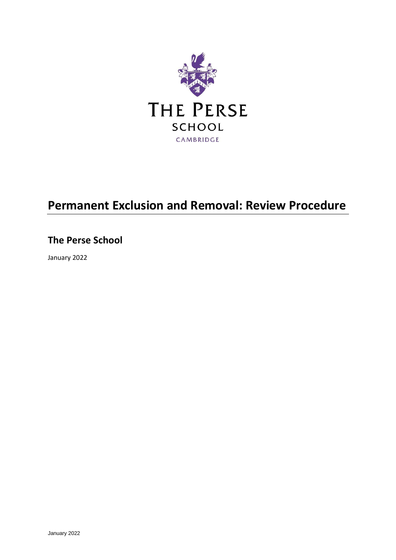

# **Permanent Exclusion and Removal: Review Procedure**

## **The Perse School**

January 2022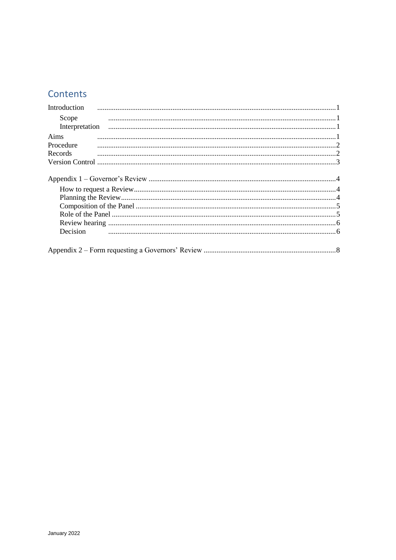## Contents

| Introduction |  |
|--------------|--|
| Scope        |  |
|              |  |
| Aims         |  |
| Procedure    |  |
| Records      |  |
|              |  |
|              |  |
|              |  |
|              |  |
|              |  |
|              |  |
|              |  |
|              |  |
| Decision     |  |
|              |  |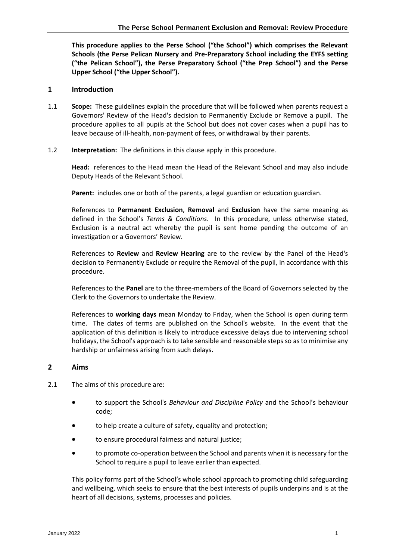**This procedure applies to the Perse School ("the School") which comprises the Relevant Schools (the Perse Pelican Nursery and Pre-Preparatory School including the EYFS setting ("the Pelican School"), the Perse Preparatory School ("the Prep School") and the Perse Upper School ("the Upper School").**

## <span id="page-2-0"></span>**1 Introduction**

- <span id="page-2-1"></span>1.1 **Scope:** These guidelines explain the procedure that will be followed when parents request a Governors' Review of the Head's decision to Permanently Exclude or Remove a pupil. The procedure applies to all pupils at the School but does not cover cases when a pupil has to leave because of ill-health, non-payment of fees, or withdrawal by their parents.
- <span id="page-2-2"></span>1.2 **Interpretation:** The definitions in this clause apply in this procedure.

**Head:** references to the Head mean the Head of the Relevant School and may also include Deputy Heads of the Relevant School.

**Parent:** includes one or both of the parents, a legal guardian or education guardian.

References to **Permanent Exclusion**, **Removal** and **Exclusion** have the same meaning as defined in the School's *Terms & Conditions*. In this procedure, unless otherwise stated, Exclusion is a neutral act whereby the pupil is sent home pending the outcome of an investigation or a Governors' Review.

References to **Review** and **Review Hearing** are to the review by the Panel of the Head's decision to Permanently Exclude or require the Removal of the pupil, in accordance with this procedure.

References to the **Panel** are to the three-members of the Board of Governors selected by the Clerk to the Governors to undertake the Review.

References to **working days** mean Monday to Friday, when the School is open during term time. The dates of terms are published on the School's website. In the event that the application of this definition is likely to introduce excessive delays due to intervening school holidays, the School's approach is to take sensible and reasonable steps so as to minimise any hardship or unfairness arising from such delays.

## <span id="page-2-3"></span>**2 Aims**

- 2.1 The aims of this procedure are:
	- to support the School's *Behaviour and Discipline Policy* and the School's behaviour code;
	- to help create a culture of safety, equality and protection;
	- to ensure procedural fairness and natural justice;
	- to promote co-operation between the School and parents when it is necessary for the School to require a pupil to leave earlier than expected.

This policy forms part of the School's whole school approach to promoting child safeguarding and wellbeing, which seeks to ensure that the best interests of pupils underpins and is at the heart of all decisions, systems, processes and policies.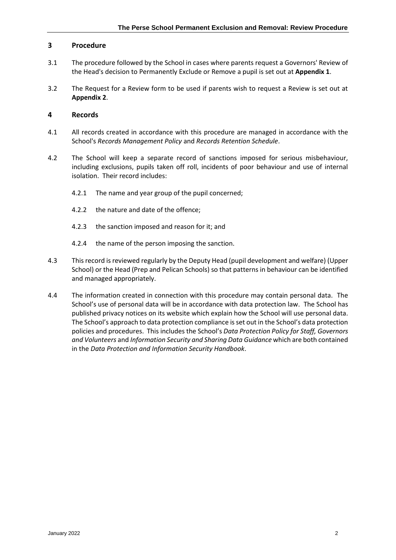## <span id="page-3-0"></span>**3 Procedure**

- 3.1 The procedure followed by the School in cases where parents request a Governors' Review of the Head's decision to Permanently Exclude or Remove a pupil is set out at **Appendix 1**.
- 3.2 The Request for a Review form to be used if parents wish to request a Review is set out at **Appendix 2**.

## <span id="page-3-1"></span>**4 Records**

- 4.1 All records created in accordance with this procedure are managed in accordance with the School's *Records Management Policy* and *Records Retention Schedule*.
- 4.2 The School will keep a separate record of sanctions imposed for serious misbehaviour, including exclusions, pupils taken off roll, incidents of poor behaviour and use of internal isolation. Their record includes:
	- 4.2.1 The name and year group of the pupil concerned;
	- 4.2.2 the nature and date of the offence;
	- 4.2.3 the sanction imposed and reason for it; and
	- 4.2.4 the name of the person imposing the sanction.
- 4.3 This record is reviewed regularly by the Deputy Head (pupil development and welfare) (Upper School) or the Head (Prep and Pelican Schools) so that patterns in behaviour can be identified and managed appropriately.
- <span id="page-3-2"></span>4.4 The information created in connection with this procedure may contain personal data. The School's use of personal data will be in accordance with data protection law. The School has published privacy notices on its website which explain how the School will use personal data. The School's approach to data protection compliance is set out in the School's data protection policies and procedures. This includes the School's *Data Protection Policy for Staff, Governors and Volunteers* and *Information Security and Sharing Data Guidance* which are both contained in the *Data Protection and Information Security Handbook*.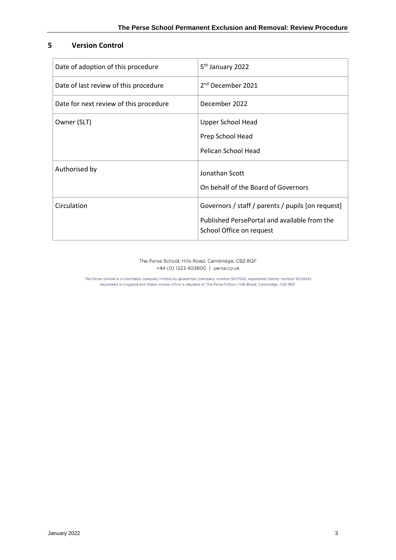## **5 Version Control**

| Date of adoption of this procedure     | 5 <sup>th</sup> January 2022                                             |
|----------------------------------------|--------------------------------------------------------------------------|
| Date of last review of this procedure  | 2 <sup>nd</sup> December 2021                                            |
| Date for next review of this procedure | December 2022                                                            |
| Owner (SLT)                            | <b>Upper School Head</b>                                                 |
|                                        | Prep School Head                                                         |
|                                        | Pelican School Head                                                      |
| Authorised by                          | Jonathan Scott                                                           |
|                                        | On behalf of the Board of Governors                                      |
| Circulation                            | Governors / staff / parents / pupils [on request]                        |
|                                        | Published PersePortal and available from the<br>School Office on request |

The Perse School, Hills Road, Cambridge, CB2 8QF +44 (0) 1223 403800 | perse.co.uk

The Perse School is a charitable company limited by guarantee (company number 5977683, registered charity number 1120654)<br>registered in England and Wales whose office is situated at The Perse School, Hills Road, Cambridge,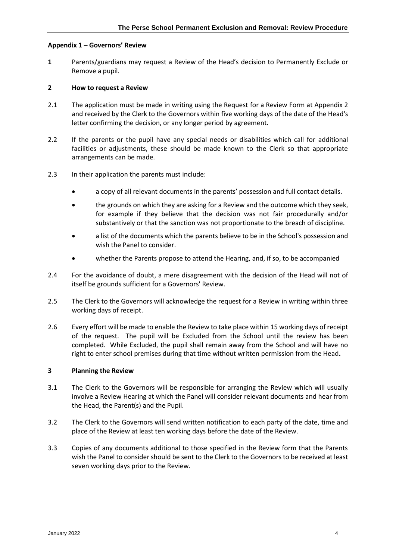#### <span id="page-5-0"></span>**Appendix 1 – Governors' Review**

**1** Parents/guardians may request a Review of the Head's decision to Permanently Exclude or Remove a pupil.

#### <span id="page-5-1"></span>**2 How to request a Review**

- 2.1 The application must be made in writing using the Request for a Review Form at Appendix 2 and received by the Clerk to the Governors within five working days of the date of the Head's letter confirming the decision, or any longer period by agreement.
- 2.2 If the parents or the pupil have any special needs or disabilities which call for additional facilities or adjustments, these should be made known to the Clerk so that appropriate arrangements can be made.
- 2.3 In their application the parents must include:
	- a copy of all relevant documents in the parents' possession and full contact details.
	- the grounds on which they are asking for a Review and the outcome which they seek, for example if they believe that the decision was not fair procedurally and/or substantively or that the sanction was not proportionate to the breach of discipline.
	- a list of the documents which the parents believe to be in the School's possession and wish the Panel to consider.
	- whether the Parents propose to attend the Hearing, and, if so, to be accompanied
- 2.4 For the avoidance of doubt, a mere disagreement with the decision of the Head will not of itself be grounds sufficient for a Governors' Review.
- 2.5 The Clerk to the Governors will acknowledge the request for a Review in writing within three working days of receipt.
- 2.6 Every effort will be made to enable the Review to take place within 15 working days of receipt of the request. The pupil will be Excluded from the School until the review has been completed. While Excluded, the pupil shall remain away from the School and will have no right to enter school premises during that time without written permission from the Head**.**

#### <span id="page-5-2"></span>**3 Planning the Review**

- 3.1 The Clerk to the Governors will be responsible for arranging the Review which will usually involve a Review Hearing at which the Panel will consider relevant documents and hear from the Head, the Parent(s) and the Pupil.
- 3.2 The Clerk to the Governors will send written notification to each party of the date, time and place of the Review at least ten working days before the date of the Review.
- 3.3 Copies of any documents additional to those specified in the Review form that the Parents wish the Panel to consider should be sent to the Clerk to the Governors to be received at least seven working days prior to the Review.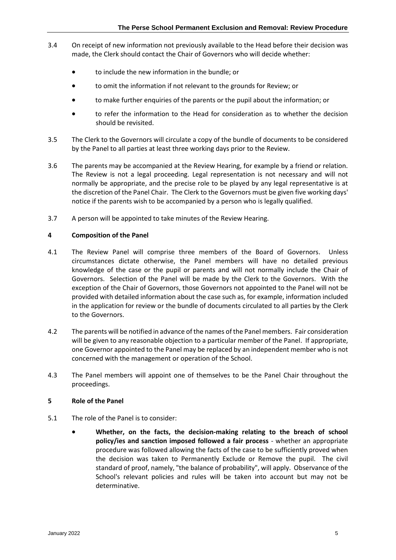- 3.4 On receipt of new information not previously available to the Head before their decision was made, the Clerk should contact the Chair of Governors who will decide whether:
	- to include the new information in the bundle; or
	- to omit the information if not relevant to the grounds for Review; or
	- to make further enquiries of the parents or the pupil about the information; or
	- to refer the information to the Head for consideration as to whether the decision should be revisited.
- 3.5 The Clerk to the Governors will circulate a copy of the bundle of documents to be considered by the Panel to all parties at least three working days prior to the Review.
- 3.6 The parents may be accompanied at the Review Hearing, for example by a friend or relation. The Review is not a legal proceeding. Legal representation is not necessary and will not normally be appropriate, and the precise role to be played by any legal representative is at the discretion of the Panel Chair. The Clerk to the Governors must be given five working days' notice if the parents wish to be accompanied by a person who is legally qualified.
- 3.7 A person will be appointed to take minutes of the Review Hearing.

## <span id="page-6-0"></span>**4 Composition of the Panel**

- 4.1 The Review Panel will comprise three members of the Board of Governors. Unless circumstances dictate otherwise, the Panel members will have no detailed previous knowledge of the case or the pupil or parents and will not normally include the Chair of Governors. Selection of the Panel will be made by the Clerk to the Governors. With the exception of the Chair of Governors, those Governors not appointed to the Panel will not be provided with detailed information about the case such as, for example, information included in the application for review or the bundle of documents circulated to all parties by the Clerk to the Governors.
- 4.2 The parents will be notified in advance of the names of the Panel members. Fair consideration will be given to any reasonable objection to a particular member of the Panel. If appropriate, one Governor appointed to the Panel may be replaced by an independent member who is not concerned with the management or operation of the School.
- 4.3 The Panel members will appoint one of themselves to be the Panel Chair throughout the proceedings.

## <span id="page-6-1"></span>**5 Role of the Panel**

- 5.1 The role of the Panel is to consider:
	- **Whether, on the facts, the decision-making relating to the breach of school policy/ies and sanction imposed followed a fair process** - whether an appropriate procedure was followed allowing the facts of the case to be sufficiently proved when the decision was taken to Permanently Exclude or Remove the pupil. The civil standard of proof, namely, "the balance of probability", will apply. Observance of the School's relevant policies and rules will be taken into account but may not be determinative.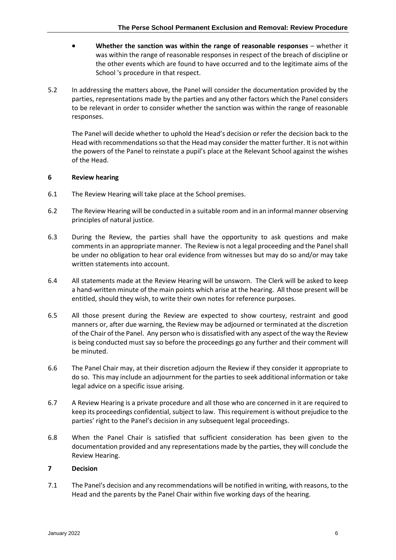- **Whether the sanction was within the range of reasonable responses** whether it was within the range of reasonable responses in respect of the breach of discipline or the other events which are found to have occurred and to the legitimate aims of the School 's procedure in that respect.
- 5.2 In addressing the matters above, the Panel will consider the documentation provided by the parties, representations made by the parties and any other factors which the Panel considers to be relevant in order to consider whether the sanction was within the range of reasonable responses.

The Panel will decide whether to uphold the Head's decision or refer the decision back to the Head with recommendations so that the Head may consider the matter further. It is not within the powers of the Panel to reinstate a pupil's place at the Relevant School against the wishes of the Head.

## <span id="page-7-0"></span>**6 Review hearing**

- 6.1 The Review Hearing will take place at the School premises.
- 6.2 The Review Hearing will be conducted in a suitable room and in an informal manner observing principles of natural justice.
- 6.3 During the Review, the parties shall have the opportunity to ask questions and make comments in an appropriate manner. The Review is not a legal proceeding and the Panel shall be under no obligation to hear oral evidence from witnesses but may do so and/or may take written statements into account.
- 6.4 All statements made at the Review Hearing will be unsworn. The Clerk will be asked to keep a hand-written minute of the main points which arise at the hearing. All those present will be entitled, should they wish, to write their own notes for reference purposes.
- 6.5 All those present during the Review are expected to show courtesy, restraint and good manners or, after due warning, the Review may be adjourned or terminated at the discretion of the Chair of the Panel. Any person who is dissatisfied with any aspect of the way the Review is being conducted must say so before the proceedings go any further and their comment will be minuted.
- 6.6 The Panel Chair may, at their discretion adjourn the Review if they consider it appropriate to do so. This may include an adjournment for the parties to seek additional information or take legal advice on a specific issue arising.
- 6.7 A Review Hearing is a private procedure and all those who are concerned in it are required to keep its proceedings confidential, subject to law. This requirement is without prejudice to the parties' right to the Panel's decision in any subsequent legal proceedings.
- 6.8 When the Panel Chair is satisfied that sufficient consideration has been given to the documentation provided and any representations made by the parties, they will conclude the Review Hearing.

## <span id="page-7-1"></span>**7 Decision**

7.1 The Panel's decision and any recommendations will be notified in writing, with reasons, to the Head and the parents by the Panel Chair within five working days of the hearing.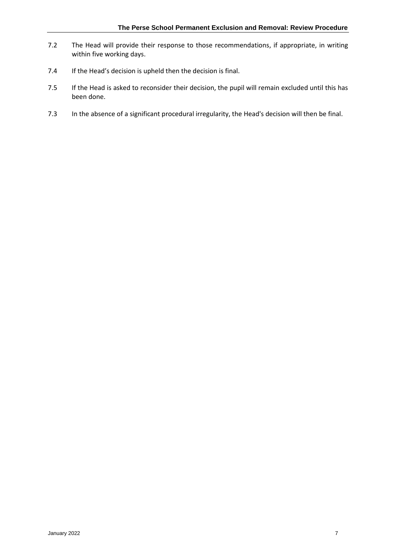- 7.2 The Head will provide their response to those recommendations, if appropriate, in writing within five working days.
- 7.4 If the Head's decision is upheld then the decision is final.
- 7.5 If the Head is asked to reconsider their decision, the pupil will remain excluded until this has been done.
- 7.3 In the absence of a significant procedural irregularity, the Head's decision will then be final.